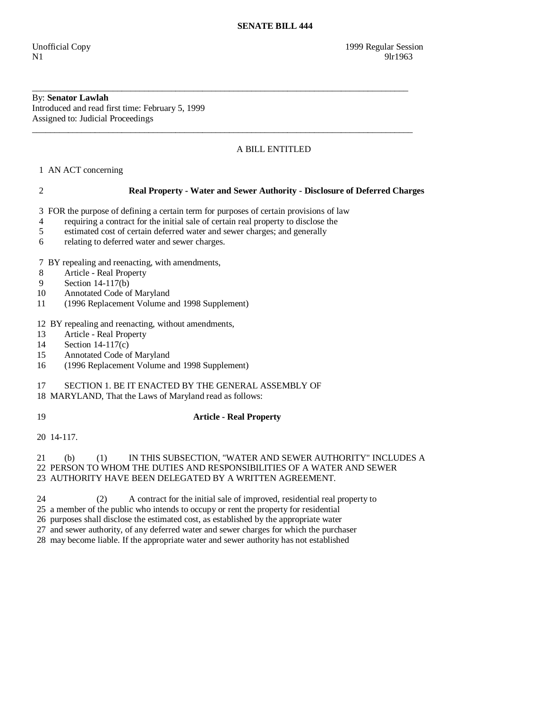#### By: **Senator Lawlah**  Introduced and read first time: February 5, 1999 Assigned to: Judicial Proceedings

# A BILL ENTITLED

1 AN ACT concerning

## 2 **Real Property - Water and Sewer Authority - Disclosure of Deferred Charges**

3 FOR the purpose of defining a certain term for purposes of certain provisions of law

\_\_\_\_\_\_\_\_\_\_\_\_\_\_\_\_\_\_\_\_\_\_\_\_\_\_\_\_\_\_\_\_\_\_\_\_\_\_\_\_\_\_\_\_\_\_\_\_\_\_\_\_\_\_\_\_\_\_\_\_\_\_\_\_\_\_\_\_\_\_\_\_\_\_\_\_\_\_\_\_\_\_\_\_

\_\_\_\_\_\_\_\_\_\_\_\_\_\_\_\_\_\_\_\_\_\_\_\_\_\_\_\_\_\_\_\_\_\_\_\_\_\_\_\_\_\_\_\_\_\_\_\_\_\_\_\_\_\_\_\_\_\_\_\_\_\_\_\_\_\_\_\_\_\_\_\_\_\_\_\_\_\_\_\_\_\_\_\_\_

- 4 requiring a contract for the initial sale of certain real property to disclose the
- 5 estimated cost of certain deferred water and sewer charges; and generally
- 6 relating to deferred water and sewer charges.

7 BY repealing and reenacting, with amendments,

8 Article - Real Property

9 Section 14-117(b)

- 10 Annotated Code of Maryland
- 11 (1996 Replacement Volume and 1998 Supplement)

12 BY repealing and reenacting, without amendments,

- 13 Article Real Property
- 14 Section 14-117(c)
- 15 Annotated Code of Maryland
- 16 (1996 Replacement Volume and 1998 Supplement)

## 17 SECTION 1. BE IT ENACTED BY THE GENERAL ASSEMBLY OF

18 MARYLAND, That the Laws of Maryland read as follows:

# 19 **Article - Real Property**

20 14-117.

 21 (b) (1) IN THIS SUBSECTION, "WATER AND SEWER AUTHORITY" INCLUDES A 22 PERSON TO WHOM THE DUTIES AND RESPONSIBILITIES OF A WATER AND SEWER 23 AUTHORITY HAVE BEEN DELEGATED BY A WRITTEN AGREEMENT.

- 24 (2) A contract for the initial sale of improved, residential real property to
- 25 a member of the public who intends to occupy or rent the property for residential
- 26 purposes shall disclose the estimated cost, as established by the appropriate water

27 and sewer authority, of any deferred water and sewer charges for which the purchaser

28 may become liable. If the appropriate water and sewer authority has not established